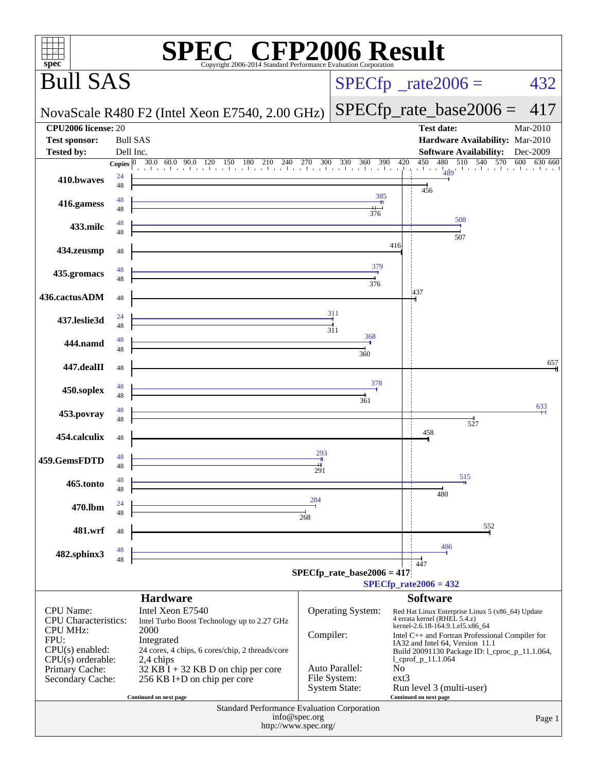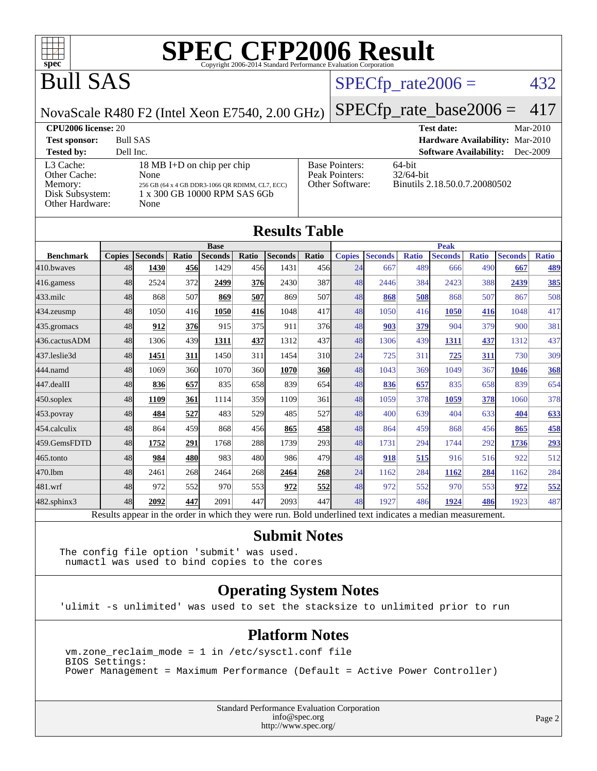

### Bull SAS

#### $SPECTp_rate2006 = 432$

NovaScale R480 F2 (Intel Xeon E7540, 2.00 GHz)

[SPECfp\\_rate\\_base2006 =](http://www.spec.org/auto/cpu2006/Docs/result-fields.html#SPECfpratebase2006) 417

**[CPU2006 license:](http://www.spec.org/auto/cpu2006/Docs/result-fields.html#CPU2006license)** 20 **[Test date:](http://www.spec.org/auto/cpu2006/Docs/result-fields.html#Testdate)** Mar-2010 **[Test sponsor:](http://www.spec.org/auto/cpu2006/Docs/result-fields.html#Testsponsor)** Bull SAS **[Hardware Availability:](http://www.spec.org/auto/cpu2006/Docs/result-fields.html#HardwareAvailability)** Mar-2010

#### **[Tested by:](http://www.spec.org/auto/cpu2006/Docs/result-fields.html#Testedby)** Dell Inc. **[Software Availability:](http://www.spec.org/auto/cpu2006/Docs/result-fields.html#SoftwareAvailability)** Dec-2009 [L3 Cache:](http://www.spec.org/auto/cpu2006/Docs/result-fields.html#L3Cache) 18 MB I+D on chip per chip<br>Other Cache: None [Other Cache:](http://www.spec.org/auto/cpu2006/Docs/result-fields.html#OtherCache) [Memory:](http://www.spec.org/auto/cpu2006/Docs/result-fields.html#Memory) 256 GB (64 x 4 GB DDR3-1066 QR RDIMM, CL7, ECC) [Disk Subsystem:](http://www.spec.org/auto/cpu2006/Docs/result-fields.html#DiskSubsystem) 1 x 300 GB 10000 RPM SAS 6Gb [Other Hardware:](http://www.spec.org/auto/cpu2006/Docs/result-fields.html#OtherHardware) None [Base Pointers:](http://www.spec.org/auto/cpu2006/Docs/result-fields.html#BasePointers) 64-bit<br>Peak Pointers: 32/64-bit [Peak Pointers:](http://www.spec.org/auto/cpu2006/Docs/result-fields.html#PeakPointers) [Other Software:](http://www.spec.org/auto/cpu2006/Docs/result-fields.html#OtherSoftware) Binutils 2.18.50.0.7.20080502

| <b>Results Table</b> |               |                |       |                |            |                |                 |               |                |              |                |              |                |              |  |
|----------------------|---------------|----------------|-------|----------------|------------|----------------|-----------------|---------------|----------------|--------------|----------------|--------------|----------------|--------------|--|
|                      | <b>Base</b>   |                |       |                |            |                |                 |               | <b>Peak</b>    |              |                |              |                |              |  |
| <b>Benchmark</b>     | <b>Copies</b> | <b>Seconds</b> | Ratio | <b>Seconds</b> | Ratio      | <b>Seconds</b> | Ratio           | <b>Copies</b> | <b>Seconds</b> | <b>Ratio</b> | <b>Seconds</b> | <b>Ratio</b> | <b>Seconds</b> | <b>Ratio</b> |  |
| 410.bwaves           | 48            | 1430           | 456   | 1429           | 456        | 1431           | 456             | 24            | 667            | 489          | 666            | 490          | 667            | 489          |  |
| 416.gamess           | 48            | 2524           | 372   | 2499           | <u>376</u> | 2430           | 387             | 48            | 2446           | 384          | 2423           | 388          | 2439           | <u>385</u>   |  |
| $433$ .milc          | 48            | 868            | 507   | 869            | 507        | 869            | 507             | 48            | 868            | 508          | 868            | 507          | 867            | 508          |  |
| $434$ . zeusmp       | 48            | 1050           | 416   | 1050           | 416        | 1048           | 417             | 48            | 1050           | 416          | 1050           | 416          | 1048           | 417          |  |
| 435.gromacs          | 48            | 912            | 376   | 915            | 375        | 911            | 376             | 48            | 903            | 379          | 904            | 379          | 900            | 381          |  |
| 436.cactusADM        | 48            | 1306           | 439   | 1311           | 437        | 1312           | 437             | 48            | 1306           | 439          | 1311           | 437          | 1312           | 437          |  |
| 437.leslie3d         | 48            | 1451           | 311   | 1450           | 311        | 1454           | 31 <sub>0</sub> | 24            | 725            | 311          | 725            | 311          | 730            | 309          |  |
| 444.namd             | 48            | 1069           | 360   | 1070           | 360        | 1070           | 360             | 48            | 1043           | 369          | 1049           | 367          | 1046           | 368          |  |
| 447.dealII           | 48            | 836            | 657   | 835            | 658        | 839            | 654             | 48            | 836            | 657          | 835            | 658          | 839            | 654          |  |
| $450$ .soplex        | 48            | 1109           | 361   | 1114           | 359        | 1109           | 361             | 48            | 1059           | 378          | 1059           | 378          | 1060           | 378          |  |
| 453.povray           | 48            | 484            | 527   | 483            | 529        | 485            | 527             | 48            | 400            | 639          | 404            | 633          | 404            | 633          |  |
| 454.calculix         | 48            | 864            | 459   | 868            | 456        | 865            | 458             | 48            | 864            | 459          | 868            | 456          | 865            | 458          |  |
| 459.GemsFDTD         | 48            | 1752           | 291   | 1768           | 288        | 1739           | 293             | 48            | 1731           | 294          | 1744           | 292          | 1736           | 293          |  |
| 465.tonto            | 48            | 984            | 480   | 983            | 480        | 986            | 479             | 48            | 918            | 515          | 916            | 516          | 922            | 512          |  |
| 470.1bm              | 48            | 2461           | 268   | 2464           | 268        | 2464           | 268             | 24            | 1162           | 284          | 1162           | <u>284</u>   | 1162           | 284          |  |
| 481.wrf              | 48            | 972            | 552   | 970            | 553        | 972            | 552             | 48            | 972            | 552          | 970            | 553          | 972            | 552          |  |
| 482.sphinx3          | 48            | 2092           | 447   | 2091           | 447        | 2093           | 447             | 48            | 1927           | 486          | 1924           | 486          | 1923           | 487          |  |

#### **[Submit Notes](http://www.spec.org/auto/cpu2006/Docs/result-fields.html#SubmitNotes)**

The config file option 'submit' was used. numactl was used to bind copies to the cores

#### **[Operating System Notes](http://www.spec.org/auto/cpu2006/Docs/result-fields.html#OperatingSystemNotes)**

'ulimit -s unlimited' was used to set the stacksize to unlimited prior to run

#### **[Platform Notes](http://www.spec.org/auto/cpu2006/Docs/result-fields.html#PlatformNotes)**

 vm.zone\_reclaim\_mode = 1 in /etc/sysctl.conf file BIOS Settings: Power Management = Maximum Performance (Default = Active Power Controller)

> Standard Performance Evaluation Corporation [info@spec.org](mailto:info@spec.org) <http://www.spec.org/>

Page 2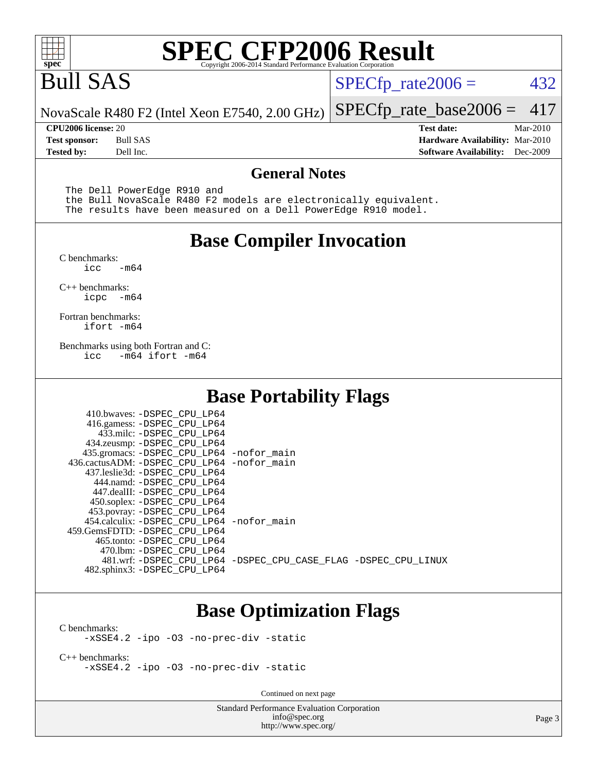

## Bull SAS

 $SPECTp_rate2006 = 432$ 

[SPECfp\\_rate\\_base2006 =](http://www.spec.org/auto/cpu2006/Docs/result-fields.html#SPECfpratebase2006) 417

NovaScale R480 F2 (Intel Xeon E7540, 2.00 GHz)

**[Tested by:](http://www.spec.org/auto/cpu2006/Docs/result-fields.html#Testedby)** Dell Inc. **[Software Availability:](http://www.spec.org/auto/cpu2006/Docs/result-fields.html#SoftwareAvailability)** Dec-2009

**[CPU2006 license:](http://www.spec.org/auto/cpu2006/Docs/result-fields.html#CPU2006license)** 20 **[Test date:](http://www.spec.org/auto/cpu2006/Docs/result-fields.html#Testdate)** Mar-2010 **[Test sponsor:](http://www.spec.org/auto/cpu2006/Docs/result-fields.html#Testsponsor)** Bull SAS **[Hardware Availability:](http://www.spec.org/auto/cpu2006/Docs/result-fields.html#HardwareAvailability)** Mar-2010

#### **[General Notes](http://www.spec.org/auto/cpu2006/Docs/result-fields.html#GeneralNotes)**

The Dell PowerEdge R910 and

 the Bull NovaScale R480 F2 models are electronically equivalent. The results have been measured on a Dell PowerEdge R910 model.

#### **[Base Compiler Invocation](http://www.spec.org/auto/cpu2006/Docs/result-fields.html#BaseCompilerInvocation)**

[C benchmarks](http://www.spec.org/auto/cpu2006/Docs/result-fields.html#Cbenchmarks):  $-m64$ 

[C++ benchmarks:](http://www.spec.org/auto/cpu2006/Docs/result-fields.html#CXXbenchmarks) [icpc -m64](http://www.spec.org/cpu2006/results/res2010q3/cpu2006-20100621-11899.flags.html#user_CXXbase_intel_icpc_64bit_bedb90c1146cab66620883ef4f41a67e)

[Fortran benchmarks](http://www.spec.org/auto/cpu2006/Docs/result-fields.html#Fortranbenchmarks): [ifort -m64](http://www.spec.org/cpu2006/results/res2010q3/cpu2006-20100621-11899.flags.html#user_FCbase_intel_ifort_64bit_ee9d0fb25645d0210d97eb0527dcc06e)

[Benchmarks using both Fortran and C](http://www.spec.org/auto/cpu2006/Docs/result-fields.html#BenchmarksusingbothFortranandC): [icc -m64](http://www.spec.org/cpu2006/results/res2010q3/cpu2006-20100621-11899.flags.html#user_CC_FCbase_intel_icc_64bit_0b7121f5ab7cfabee23d88897260401c) [ifort -m64](http://www.spec.org/cpu2006/results/res2010q3/cpu2006-20100621-11899.flags.html#user_CC_FCbase_intel_ifort_64bit_ee9d0fb25645d0210d97eb0527dcc06e)

#### **[Base Portability Flags](http://www.spec.org/auto/cpu2006/Docs/result-fields.html#BasePortabilityFlags)**

| 410.bwaves: -DSPEC CPU LP64<br>416.gamess: - DSPEC_CPU_LP64 |                                                                |
|-------------------------------------------------------------|----------------------------------------------------------------|
| 433.milc: -DSPEC CPU LP64                                   |                                                                |
| 434.zeusmp: -DSPEC_CPU_LP64                                 |                                                                |
| 435.gromacs: -DSPEC CPU LP64 -nofor main                    |                                                                |
| 436.cactusADM: -DSPEC CPU LP64 -nofor main                  |                                                                |
| 437.leslie3d: -DSPEC CPU LP64                               |                                                                |
| 444.namd: -DSPEC CPU LP64                                   |                                                                |
| 447.dealII: -DSPEC CPU LP64                                 |                                                                |
| 450.soplex: -DSPEC_CPU_LP64                                 |                                                                |
| 453.povray: -DSPEC CPU LP64                                 |                                                                |
| 454.calculix: - DSPEC CPU LP64 - nofor main                 |                                                                |
| 459.GemsFDTD: - DSPEC_CPU_LP64                              |                                                                |
| 465.tonto: - DSPEC CPU LP64                                 |                                                                |
| 470.1bm: - DSPEC CPU LP64                                   |                                                                |
|                                                             | 481.wrf: -DSPEC CPU_LP64 -DSPEC_CPU_CASE_FLAG -DSPEC_CPU_LINUX |
| 482.sphinx3: -DSPEC_CPU_LP64                                |                                                                |

#### **[Base Optimization Flags](http://www.spec.org/auto/cpu2006/Docs/result-fields.html#BaseOptimizationFlags)**

[C benchmarks](http://www.spec.org/auto/cpu2006/Docs/result-fields.html#Cbenchmarks): [-xSSE4.2](http://www.spec.org/cpu2006/results/res2010q3/cpu2006-20100621-11899.flags.html#user_CCbase_f-xSSE42_f91528193cf0b216347adb8b939d4107) [-ipo](http://www.spec.org/cpu2006/results/res2010q3/cpu2006-20100621-11899.flags.html#user_CCbase_f-ipo) [-O3](http://www.spec.org/cpu2006/results/res2010q3/cpu2006-20100621-11899.flags.html#user_CCbase_f-O3) [-no-prec-div](http://www.spec.org/cpu2006/results/res2010q3/cpu2006-20100621-11899.flags.html#user_CCbase_f-no-prec-div) [-static](http://www.spec.org/cpu2006/results/res2010q3/cpu2006-20100621-11899.flags.html#user_CCbase_f-static)

[C++ benchmarks:](http://www.spec.org/auto/cpu2006/Docs/result-fields.html#CXXbenchmarks) [-xSSE4.2](http://www.spec.org/cpu2006/results/res2010q3/cpu2006-20100621-11899.flags.html#user_CXXbase_f-xSSE42_f91528193cf0b216347adb8b939d4107) [-ipo](http://www.spec.org/cpu2006/results/res2010q3/cpu2006-20100621-11899.flags.html#user_CXXbase_f-ipo) [-O3](http://www.spec.org/cpu2006/results/res2010q3/cpu2006-20100621-11899.flags.html#user_CXXbase_f-O3) [-no-prec-div](http://www.spec.org/cpu2006/results/res2010q3/cpu2006-20100621-11899.flags.html#user_CXXbase_f-no-prec-div) [-static](http://www.spec.org/cpu2006/results/res2010q3/cpu2006-20100621-11899.flags.html#user_CXXbase_f-static)

Continued on next page

Standard Performance Evaluation Corporation [info@spec.org](mailto:info@spec.org) <http://www.spec.org/>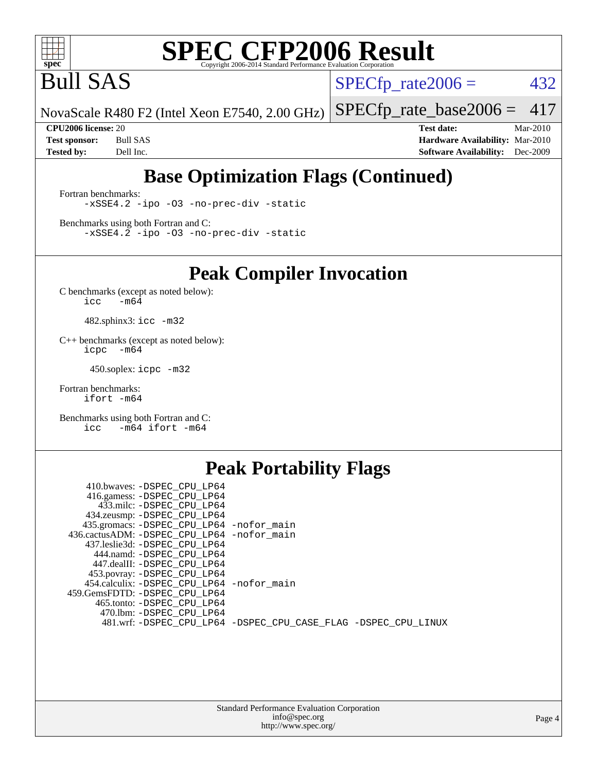

Bull SAS

 $SPECTp_rate2006 = 432$ 

[SPECfp\\_rate\\_base2006 =](http://www.spec.org/auto/cpu2006/Docs/result-fields.html#SPECfpratebase2006) 417

NovaScale R480 F2 (Intel Xeon E7540, 2.00 GHz)

**[CPU2006 license:](http://www.spec.org/auto/cpu2006/Docs/result-fields.html#CPU2006license)** 20 **[Test date:](http://www.spec.org/auto/cpu2006/Docs/result-fields.html#Testdate)** Mar-2010 **[Test sponsor:](http://www.spec.org/auto/cpu2006/Docs/result-fields.html#Testsponsor)** Bull SAS **[Hardware Availability:](http://www.spec.org/auto/cpu2006/Docs/result-fields.html#HardwareAvailability)** Mar-2010 **[Tested by:](http://www.spec.org/auto/cpu2006/Docs/result-fields.html#Testedby)** Dell Inc. **[Software Availability:](http://www.spec.org/auto/cpu2006/Docs/result-fields.html#SoftwareAvailability)** Dec-2009

#### **[Base Optimization Flags \(Continued\)](http://www.spec.org/auto/cpu2006/Docs/result-fields.html#BaseOptimizationFlags)**

[Fortran benchmarks](http://www.spec.org/auto/cpu2006/Docs/result-fields.html#Fortranbenchmarks): [-xSSE4.2](http://www.spec.org/cpu2006/results/res2010q3/cpu2006-20100621-11899.flags.html#user_FCbase_f-xSSE42_f91528193cf0b216347adb8b939d4107) [-ipo](http://www.spec.org/cpu2006/results/res2010q3/cpu2006-20100621-11899.flags.html#user_FCbase_f-ipo) [-O3](http://www.spec.org/cpu2006/results/res2010q3/cpu2006-20100621-11899.flags.html#user_FCbase_f-O3) [-no-prec-div](http://www.spec.org/cpu2006/results/res2010q3/cpu2006-20100621-11899.flags.html#user_FCbase_f-no-prec-div) [-static](http://www.spec.org/cpu2006/results/res2010q3/cpu2006-20100621-11899.flags.html#user_FCbase_f-static)

[Benchmarks using both Fortran and C](http://www.spec.org/auto/cpu2006/Docs/result-fields.html#BenchmarksusingbothFortranandC): [-xSSE4.2](http://www.spec.org/cpu2006/results/res2010q3/cpu2006-20100621-11899.flags.html#user_CC_FCbase_f-xSSE42_f91528193cf0b216347adb8b939d4107) [-ipo](http://www.spec.org/cpu2006/results/res2010q3/cpu2006-20100621-11899.flags.html#user_CC_FCbase_f-ipo) [-O3](http://www.spec.org/cpu2006/results/res2010q3/cpu2006-20100621-11899.flags.html#user_CC_FCbase_f-O3) [-no-prec-div](http://www.spec.org/cpu2006/results/res2010q3/cpu2006-20100621-11899.flags.html#user_CC_FCbase_f-no-prec-div) [-static](http://www.spec.org/cpu2006/results/res2010q3/cpu2006-20100621-11899.flags.html#user_CC_FCbase_f-static)

**[Peak Compiler Invocation](http://www.spec.org/auto/cpu2006/Docs/result-fields.html#PeakCompilerInvocation)**

[C benchmarks \(except as noted below\)](http://www.spec.org/auto/cpu2006/Docs/result-fields.html#Cbenchmarksexceptasnotedbelow):  $\text{icc}$  -m64

482.sphinx3: [icc -m32](http://www.spec.org/cpu2006/results/res2010q3/cpu2006-20100621-11899.flags.html#user_peakCCLD482_sphinx3_intel_icc_32bit_a6a621f8d50482236b970c6ac5f55f93)

[C++ benchmarks \(except as noted below\):](http://www.spec.org/auto/cpu2006/Docs/result-fields.html#CXXbenchmarksexceptasnotedbelow) [icpc -m64](http://www.spec.org/cpu2006/results/res2010q3/cpu2006-20100621-11899.flags.html#user_CXXpeak_intel_icpc_64bit_bedb90c1146cab66620883ef4f41a67e)

450.soplex: [icpc -m32](http://www.spec.org/cpu2006/results/res2010q3/cpu2006-20100621-11899.flags.html#user_peakCXXLD450_soplex_intel_icpc_32bit_4e5a5ef1a53fd332b3c49e69c3330699)

[Fortran benchmarks](http://www.spec.org/auto/cpu2006/Docs/result-fields.html#Fortranbenchmarks): [ifort -m64](http://www.spec.org/cpu2006/results/res2010q3/cpu2006-20100621-11899.flags.html#user_FCpeak_intel_ifort_64bit_ee9d0fb25645d0210d97eb0527dcc06e)

[Benchmarks using both Fortran and C](http://www.spec.org/auto/cpu2006/Docs/result-fields.html#BenchmarksusingbothFortranandC): [icc -m64](http://www.spec.org/cpu2006/results/res2010q3/cpu2006-20100621-11899.flags.html#user_CC_FCpeak_intel_icc_64bit_0b7121f5ab7cfabee23d88897260401c) [ifort -m64](http://www.spec.org/cpu2006/results/res2010q3/cpu2006-20100621-11899.flags.html#user_CC_FCpeak_intel_ifort_64bit_ee9d0fb25645d0210d97eb0527dcc06e)

#### **[Peak Portability Flags](http://www.spec.org/auto/cpu2006/Docs/result-fields.html#PeakPortabilityFlags)**

| 410.bwaves: -DSPEC CPU LP64                |                                                                |
|--------------------------------------------|----------------------------------------------------------------|
| 416.gamess: -DSPEC_CPU_LP64                |                                                                |
| 433.milc: -DSPEC CPU LP64                  |                                                                |
| 434.zeusmp: -DSPEC_CPU_LP64                |                                                                |
| 435.gromacs: -DSPEC_CPU_LP64 -nofor_main   |                                                                |
| 436.cactusADM: -DSPEC CPU LP64 -nofor main |                                                                |
| 437.leslie3d: -DSPEC CPU LP64              |                                                                |
| 444.namd: -DSPEC CPU LP64                  |                                                                |
| 447.dealII: -DSPEC CPU LP64                |                                                                |
| 453.povray: -DSPEC_CPU_LP64                |                                                                |
| 454.calculix: -DSPEC CPU LP64 -nofor main  |                                                                |
| 459.GemsFDTD: -DSPEC CPU LP64              |                                                                |
| 465.tonto: -DSPEC CPU LP64                 |                                                                |
| 470.1bm: - DSPEC CPU LP64                  |                                                                |
|                                            | 481.wrf: -DSPEC_CPU_LP64 -DSPEC_CPU_CASE_FLAG -DSPEC_CPU_LINUX |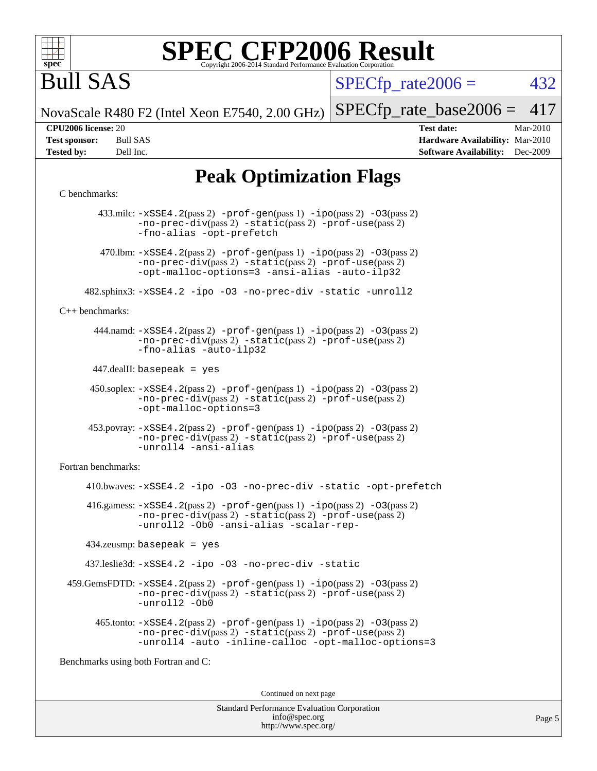

## Bull SAS

 $SPECTp\_rate2006 = 432$ 

NovaScale R480 F2 (Intel Xeon E7540, 2.00 GHz)

[SPECfp\\_rate\\_base2006 =](http://www.spec.org/auto/cpu2006/Docs/result-fields.html#SPECfpratebase2006) 417

**[CPU2006 license:](http://www.spec.org/auto/cpu2006/Docs/result-fields.html#CPU2006license)** 20 **[Test date:](http://www.spec.org/auto/cpu2006/Docs/result-fields.html#Testdate)** Mar-2010 **[Test sponsor:](http://www.spec.org/auto/cpu2006/Docs/result-fields.html#Testsponsor)** Bull SAS **[Hardware Availability:](http://www.spec.org/auto/cpu2006/Docs/result-fields.html#HardwareAvailability)** Mar-2010 **[Tested by:](http://www.spec.org/auto/cpu2006/Docs/result-fields.html#Testedby)** Dell Inc. **[Software Availability:](http://www.spec.org/auto/cpu2006/Docs/result-fields.html#SoftwareAvailability)** Dec-2009

#### **[Peak Optimization Flags](http://www.spec.org/auto/cpu2006/Docs/result-fields.html#PeakOptimizationFlags)**

#### [C benchmarks](http://www.spec.org/auto/cpu2006/Docs/result-fields.html#Cbenchmarks):

 433.milc: [-xSSE4.2](http://www.spec.org/cpu2006/results/res2010q3/cpu2006-20100621-11899.flags.html#user_peakPASS2_CFLAGSPASS2_LDFLAGS433_milc_f-xSSE42_f91528193cf0b216347adb8b939d4107)(pass 2) [-prof-gen](http://www.spec.org/cpu2006/results/res2010q3/cpu2006-20100621-11899.flags.html#user_peakPASS1_CFLAGSPASS1_LDFLAGS433_milc_prof_gen_e43856698f6ca7b7e442dfd80e94a8fc)(pass 1) [-ipo](http://www.spec.org/cpu2006/results/res2010q3/cpu2006-20100621-11899.flags.html#user_peakPASS2_CFLAGSPASS2_LDFLAGS433_milc_f-ipo)(pass 2) [-O3](http://www.spec.org/cpu2006/results/res2010q3/cpu2006-20100621-11899.flags.html#user_peakPASS2_CFLAGSPASS2_LDFLAGS433_milc_f-O3)(pass 2) [-no-prec-div](http://www.spec.org/cpu2006/results/res2010q3/cpu2006-20100621-11899.flags.html#user_peakPASS2_CFLAGSPASS2_LDFLAGS433_milc_f-no-prec-div)(pass 2) [-static](http://www.spec.org/cpu2006/results/res2010q3/cpu2006-20100621-11899.flags.html#user_peakPASS2_CFLAGSPASS2_LDFLAGS433_milc_f-static)(pass 2) [-prof-use](http://www.spec.org/cpu2006/results/res2010q3/cpu2006-20100621-11899.flags.html#user_peakPASS2_CFLAGSPASS2_LDFLAGS433_milc_prof_use_bccf7792157ff70d64e32fe3e1250b55)(pass 2) [-fno-alias](http://www.spec.org/cpu2006/results/res2010q3/cpu2006-20100621-11899.flags.html#user_peakOPTIMIZE433_milc_f-no-alias_694e77f6c5a51e658e82ccff53a9e63a) [-opt-prefetch](http://www.spec.org/cpu2006/results/res2010q3/cpu2006-20100621-11899.flags.html#user_peakOPTIMIZE433_milc_f-opt-prefetch) 470.1bm:  $-xSSE4$ . 2(pass 2)  $-prof-gen(pass 1) -ipo(pass 2) -O3(pass 2)$  $-prof-gen(pass 1) -ipo(pass 2) -O3(pass 2)$  $-prof-gen(pass 1) -ipo(pass 2) -O3(pass 2)$  $-prof-gen(pass 1) -ipo(pass 2) -O3(pass 2)$  $-prof-gen(pass 1) -ipo(pass 2) -O3(pass 2)$  $-prof-gen(pass 1) -ipo(pass 2) -O3(pass 2)$ [-no-prec-div](http://www.spec.org/cpu2006/results/res2010q3/cpu2006-20100621-11899.flags.html#user_peakPASS2_CFLAGSPASS2_LDFLAGS470_lbm_f-no-prec-div)(pass 2) [-static](http://www.spec.org/cpu2006/results/res2010q3/cpu2006-20100621-11899.flags.html#user_peakPASS2_CFLAGSPASS2_LDFLAGS470_lbm_f-static)(pass 2) [-prof-use](http://www.spec.org/cpu2006/results/res2010q3/cpu2006-20100621-11899.flags.html#user_peakPASS2_CFLAGSPASS2_LDFLAGS470_lbm_prof_use_bccf7792157ff70d64e32fe3e1250b55)(pass 2) [-opt-malloc-options=3](http://www.spec.org/cpu2006/results/res2010q3/cpu2006-20100621-11899.flags.html#user_peakOPTIMIZE470_lbm_f-opt-malloc-options_13ab9b803cf986b4ee62f0a5998c2238) [-ansi-alias](http://www.spec.org/cpu2006/results/res2010q3/cpu2006-20100621-11899.flags.html#user_peakOPTIMIZE470_lbm_f-ansi-alias) [-auto-ilp32](http://www.spec.org/cpu2006/results/res2010q3/cpu2006-20100621-11899.flags.html#user_peakCOPTIMIZE470_lbm_f-auto-ilp32) 482.sphinx3: [-xSSE4.2](http://www.spec.org/cpu2006/results/res2010q3/cpu2006-20100621-11899.flags.html#user_peakOPTIMIZE482_sphinx3_f-xSSE42_f91528193cf0b216347adb8b939d4107) [-ipo](http://www.spec.org/cpu2006/results/res2010q3/cpu2006-20100621-11899.flags.html#user_peakOPTIMIZE482_sphinx3_f-ipo) [-O3](http://www.spec.org/cpu2006/results/res2010q3/cpu2006-20100621-11899.flags.html#user_peakOPTIMIZE482_sphinx3_f-O3) [-no-prec-div](http://www.spec.org/cpu2006/results/res2010q3/cpu2006-20100621-11899.flags.html#user_peakOPTIMIZE482_sphinx3_f-no-prec-div) [-static](http://www.spec.org/cpu2006/results/res2010q3/cpu2006-20100621-11899.flags.html#user_peakOPTIMIZE482_sphinx3_f-static) [-unroll2](http://www.spec.org/cpu2006/results/res2010q3/cpu2006-20100621-11899.flags.html#user_peakCOPTIMIZE482_sphinx3_f-unroll_784dae83bebfb236979b41d2422d7ec2) [C++ benchmarks:](http://www.spec.org/auto/cpu2006/Docs/result-fields.html#CXXbenchmarks) 444.namd: [-xSSE4.2](http://www.spec.org/cpu2006/results/res2010q3/cpu2006-20100621-11899.flags.html#user_peakPASS2_CXXFLAGSPASS2_LDFLAGS444_namd_f-xSSE42_f91528193cf0b216347adb8b939d4107)(pass 2) [-prof-gen](http://www.spec.org/cpu2006/results/res2010q3/cpu2006-20100621-11899.flags.html#user_peakPASS1_CXXFLAGSPASS1_LDFLAGS444_namd_prof_gen_e43856698f6ca7b7e442dfd80e94a8fc)(pass 1) [-ipo](http://www.spec.org/cpu2006/results/res2010q3/cpu2006-20100621-11899.flags.html#user_peakPASS2_CXXFLAGSPASS2_LDFLAGS444_namd_f-ipo)(pass 2) [-O3](http://www.spec.org/cpu2006/results/res2010q3/cpu2006-20100621-11899.flags.html#user_peakPASS2_CXXFLAGSPASS2_LDFLAGS444_namd_f-O3)(pass 2) [-no-prec-div](http://www.spec.org/cpu2006/results/res2010q3/cpu2006-20100621-11899.flags.html#user_peakPASS2_CXXFLAGSPASS2_LDFLAGS444_namd_f-no-prec-div)(pass 2) [-static](http://www.spec.org/cpu2006/results/res2010q3/cpu2006-20100621-11899.flags.html#user_peakPASS2_CXXFLAGSPASS2_LDFLAGS444_namd_f-static)(pass 2) [-prof-use](http://www.spec.org/cpu2006/results/res2010q3/cpu2006-20100621-11899.flags.html#user_peakPASS2_CXXFLAGSPASS2_LDFLAGS444_namd_prof_use_bccf7792157ff70d64e32fe3e1250b55)(pass 2) [-fno-alias](http://www.spec.org/cpu2006/results/res2010q3/cpu2006-20100621-11899.flags.html#user_peakCXXOPTIMIZE444_namd_f-no-alias_694e77f6c5a51e658e82ccff53a9e63a) [-auto-ilp32](http://www.spec.org/cpu2006/results/res2010q3/cpu2006-20100621-11899.flags.html#user_peakCXXOPTIMIZE444_namd_f-auto-ilp32) 447.dealII: basepeak = yes 450.soplex: [-xSSE4.2](http://www.spec.org/cpu2006/results/res2010q3/cpu2006-20100621-11899.flags.html#user_peakPASS2_CXXFLAGSPASS2_LDFLAGS450_soplex_f-xSSE42_f91528193cf0b216347adb8b939d4107)(pass 2) [-prof-gen](http://www.spec.org/cpu2006/results/res2010q3/cpu2006-20100621-11899.flags.html#user_peakPASS1_CXXFLAGSPASS1_LDFLAGS450_soplex_prof_gen_e43856698f6ca7b7e442dfd80e94a8fc)(pass 1) [-ipo](http://www.spec.org/cpu2006/results/res2010q3/cpu2006-20100621-11899.flags.html#user_peakPASS2_CXXFLAGSPASS2_LDFLAGS450_soplex_f-ipo)(pass 2) [-O3](http://www.spec.org/cpu2006/results/res2010q3/cpu2006-20100621-11899.flags.html#user_peakPASS2_CXXFLAGSPASS2_LDFLAGS450_soplex_f-O3)(pass 2) [-no-prec-div](http://www.spec.org/cpu2006/results/res2010q3/cpu2006-20100621-11899.flags.html#user_peakPASS2_CXXFLAGSPASS2_LDFLAGS450_soplex_f-no-prec-div)(pass 2) [-static](http://www.spec.org/cpu2006/results/res2010q3/cpu2006-20100621-11899.flags.html#user_peakPASS2_CXXFLAGSPASS2_LDFLAGS450_soplex_f-static)(pass 2) [-prof-use](http://www.spec.org/cpu2006/results/res2010q3/cpu2006-20100621-11899.flags.html#user_peakPASS2_CXXFLAGSPASS2_LDFLAGS450_soplex_prof_use_bccf7792157ff70d64e32fe3e1250b55)(pass 2) [-opt-malloc-options=3](http://www.spec.org/cpu2006/results/res2010q3/cpu2006-20100621-11899.flags.html#user_peakOPTIMIZE450_soplex_f-opt-malloc-options_13ab9b803cf986b4ee62f0a5998c2238) 453.povray: [-xSSE4.2](http://www.spec.org/cpu2006/results/res2010q3/cpu2006-20100621-11899.flags.html#user_peakPASS2_CXXFLAGSPASS2_LDFLAGS453_povray_f-xSSE42_f91528193cf0b216347adb8b939d4107)(pass 2) [-prof-gen](http://www.spec.org/cpu2006/results/res2010q3/cpu2006-20100621-11899.flags.html#user_peakPASS1_CXXFLAGSPASS1_LDFLAGS453_povray_prof_gen_e43856698f6ca7b7e442dfd80e94a8fc)(pass 1) [-ipo](http://www.spec.org/cpu2006/results/res2010q3/cpu2006-20100621-11899.flags.html#user_peakPASS2_CXXFLAGSPASS2_LDFLAGS453_povray_f-ipo)(pass 2) [-O3](http://www.spec.org/cpu2006/results/res2010q3/cpu2006-20100621-11899.flags.html#user_peakPASS2_CXXFLAGSPASS2_LDFLAGS453_povray_f-O3)(pass 2) [-no-prec-div](http://www.spec.org/cpu2006/results/res2010q3/cpu2006-20100621-11899.flags.html#user_peakPASS2_CXXFLAGSPASS2_LDFLAGS453_povray_f-no-prec-div)(pass 2) [-static](http://www.spec.org/cpu2006/results/res2010q3/cpu2006-20100621-11899.flags.html#user_peakPASS2_CXXFLAGSPASS2_LDFLAGS453_povray_f-static)(pass 2) [-prof-use](http://www.spec.org/cpu2006/results/res2010q3/cpu2006-20100621-11899.flags.html#user_peakPASS2_CXXFLAGSPASS2_LDFLAGS453_povray_prof_use_bccf7792157ff70d64e32fe3e1250b55)(pass 2) [-unroll4](http://www.spec.org/cpu2006/results/res2010q3/cpu2006-20100621-11899.flags.html#user_peakCXXOPTIMIZE453_povray_f-unroll_4e5e4ed65b7fd20bdcd365bec371b81f) [-ansi-alias](http://www.spec.org/cpu2006/results/res2010q3/cpu2006-20100621-11899.flags.html#user_peakCXXOPTIMIZE453_povray_f-ansi-alias) [Fortran benchmarks](http://www.spec.org/auto/cpu2006/Docs/result-fields.html#Fortranbenchmarks): 410.bwaves: [-xSSE4.2](http://www.spec.org/cpu2006/results/res2010q3/cpu2006-20100621-11899.flags.html#user_peakOPTIMIZE410_bwaves_f-xSSE42_f91528193cf0b216347adb8b939d4107) [-ipo](http://www.spec.org/cpu2006/results/res2010q3/cpu2006-20100621-11899.flags.html#user_peakOPTIMIZE410_bwaves_f-ipo) [-O3](http://www.spec.org/cpu2006/results/res2010q3/cpu2006-20100621-11899.flags.html#user_peakOPTIMIZE410_bwaves_f-O3) [-no-prec-div](http://www.spec.org/cpu2006/results/res2010q3/cpu2006-20100621-11899.flags.html#user_peakOPTIMIZE410_bwaves_f-no-prec-div) [-static](http://www.spec.org/cpu2006/results/res2010q3/cpu2006-20100621-11899.flags.html#user_peakOPTIMIZE410_bwaves_f-static) [-opt-prefetch](http://www.spec.org/cpu2006/results/res2010q3/cpu2006-20100621-11899.flags.html#user_peakOPTIMIZE410_bwaves_f-opt-prefetch)  $416$ .gamess:  $-xSSE4$ .  $2(pass 2)$  -prof-qen(pass 1) [-ipo](http://www.spec.org/cpu2006/results/res2010q3/cpu2006-20100621-11899.flags.html#user_peakPASS2_FFLAGSPASS2_LDFLAGS416_gamess_f-ipo)(pass 2) -03(pass 2) [-no-prec-div](http://www.spec.org/cpu2006/results/res2010q3/cpu2006-20100621-11899.flags.html#user_peakPASS2_FFLAGSPASS2_LDFLAGS416_gamess_f-no-prec-div)(pass 2) [-static](http://www.spec.org/cpu2006/results/res2010q3/cpu2006-20100621-11899.flags.html#user_peakPASS2_FFLAGSPASS2_LDFLAGS416_gamess_f-static)(pass 2) [-prof-use](http://www.spec.org/cpu2006/results/res2010q3/cpu2006-20100621-11899.flags.html#user_peakPASS2_FFLAGSPASS2_LDFLAGS416_gamess_prof_use_bccf7792157ff70d64e32fe3e1250b55)(pass 2) [-unroll2](http://www.spec.org/cpu2006/results/res2010q3/cpu2006-20100621-11899.flags.html#user_peakOPTIMIZE416_gamess_f-unroll_784dae83bebfb236979b41d2422d7ec2) [-Ob0](http://www.spec.org/cpu2006/results/res2010q3/cpu2006-20100621-11899.flags.html#user_peakOPTIMIZE416_gamess_f-Ob_n_fbe6f6428adb7d4b74b1e99bb2444c2d) [-ansi-alias](http://www.spec.org/cpu2006/results/res2010q3/cpu2006-20100621-11899.flags.html#user_peakOPTIMIZE416_gamess_f-ansi-alias) [-scalar-rep-](http://www.spec.org/cpu2006/results/res2010q3/cpu2006-20100621-11899.flags.html#user_peakOPTIMIZE416_gamess_f-disablescalarrep_abbcad04450fb118e4809c81d83c8a1d) 434.zeusmp: basepeak = yes 437.leslie3d: [-xSSE4.2](http://www.spec.org/cpu2006/results/res2010q3/cpu2006-20100621-11899.flags.html#user_peakOPTIMIZE437_leslie3d_f-xSSE42_f91528193cf0b216347adb8b939d4107) [-ipo](http://www.spec.org/cpu2006/results/res2010q3/cpu2006-20100621-11899.flags.html#user_peakOPTIMIZE437_leslie3d_f-ipo) [-O3](http://www.spec.org/cpu2006/results/res2010q3/cpu2006-20100621-11899.flags.html#user_peakOPTIMIZE437_leslie3d_f-O3) [-no-prec-div](http://www.spec.org/cpu2006/results/res2010q3/cpu2006-20100621-11899.flags.html#user_peakOPTIMIZE437_leslie3d_f-no-prec-div) [-static](http://www.spec.org/cpu2006/results/res2010q3/cpu2006-20100621-11899.flags.html#user_peakOPTIMIZE437_leslie3d_f-static) 459.GemsFDTD: [-xSSE4.2](http://www.spec.org/cpu2006/results/res2010q3/cpu2006-20100621-11899.flags.html#user_peakPASS2_FFLAGSPASS2_LDFLAGS459_GemsFDTD_f-xSSE42_f91528193cf0b216347adb8b939d4107)(pass 2) [-prof-gen](http://www.spec.org/cpu2006/results/res2010q3/cpu2006-20100621-11899.flags.html#user_peakPASS1_FFLAGSPASS1_LDFLAGS459_GemsFDTD_prof_gen_e43856698f6ca7b7e442dfd80e94a8fc)(pass 1) [-ipo](http://www.spec.org/cpu2006/results/res2010q3/cpu2006-20100621-11899.flags.html#user_peakPASS2_FFLAGSPASS2_LDFLAGS459_GemsFDTD_f-ipo)(pass 2) [-O3](http://www.spec.org/cpu2006/results/res2010q3/cpu2006-20100621-11899.flags.html#user_peakPASS2_FFLAGSPASS2_LDFLAGS459_GemsFDTD_f-O3)(pass 2) [-no-prec-div](http://www.spec.org/cpu2006/results/res2010q3/cpu2006-20100621-11899.flags.html#user_peakPASS2_FFLAGSPASS2_LDFLAGS459_GemsFDTD_f-no-prec-div)(pass 2) [-static](http://www.spec.org/cpu2006/results/res2010q3/cpu2006-20100621-11899.flags.html#user_peakPASS2_FFLAGSPASS2_LDFLAGS459_GemsFDTD_f-static)(pass 2) [-prof-use](http://www.spec.org/cpu2006/results/res2010q3/cpu2006-20100621-11899.flags.html#user_peakPASS2_FFLAGSPASS2_LDFLAGS459_GemsFDTD_prof_use_bccf7792157ff70d64e32fe3e1250b55)(pass 2) [-unroll2](http://www.spec.org/cpu2006/results/res2010q3/cpu2006-20100621-11899.flags.html#user_peakOPTIMIZE459_GemsFDTD_f-unroll_784dae83bebfb236979b41d2422d7ec2) [-Ob0](http://www.spec.org/cpu2006/results/res2010q3/cpu2006-20100621-11899.flags.html#user_peakOPTIMIZE459_GemsFDTD_f-Ob_n_fbe6f6428adb7d4b74b1e99bb2444c2d)  $465$ .tonto:  $-xSSE4$ .  $2(pass 2)$  [-prof-gen](http://www.spec.org/cpu2006/results/res2010q3/cpu2006-20100621-11899.flags.html#user_peakPASS1_FFLAGSPASS1_LDFLAGS465_tonto_prof_gen_e43856698f6ca7b7e442dfd80e94a8fc)(pass 1) [-ipo](http://www.spec.org/cpu2006/results/res2010q3/cpu2006-20100621-11899.flags.html#user_peakPASS2_FFLAGSPASS2_LDFLAGS465_tonto_f-ipo)(pass 2) [-O3](http://www.spec.org/cpu2006/results/res2010q3/cpu2006-20100621-11899.flags.html#user_peakPASS2_FFLAGSPASS2_LDFLAGS465_tonto_f-O3)(pass 2) [-no-prec-div](http://www.spec.org/cpu2006/results/res2010q3/cpu2006-20100621-11899.flags.html#user_peakPASS2_FFLAGSPASS2_LDFLAGS465_tonto_f-no-prec-div)(pass 2) [-static](http://www.spec.org/cpu2006/results/res2010q3/cpu2006-20100621-11899.flags.html#user_peakPASS2_FFLAGSPASS2_LDFLAGS465_tonto_f-static)(pass 2) [-prof-use](http://www.spec.org/cpu2006/results/res2010q3/cpu2006-20100621-11899.flags.html#user_peakPASS2_FFLAGSPASS2_LDFLAGS465_tonto_prof_use_bccf7792157ff70d64e32fe3e1250b55)(pass 2) [-unroll4](http://www.spec.org/cpu2006/results/res2010q3/cpu2006-20100621-11899.flags.html#user_peakOPTIMIZE465_tonto_f-unroll_4e5e4ed65b7fd20bdcd365bec371b81f) [-auto](http://www.spec.org/cpu2006/results/res2010q3/cpu2006-20100621-11899.flags.html#user_peakOPTIMIZE465_tonto_f-auto) [-inline-calloc](http://www.spec.org/cpu2006/results/res2010q3/cpu2006-20100621-11899.flags.html#user_peakOPTIMIZE465_tonto_f-inline-calloc) [-opt-malloc-options=3](http://www.spec.org/cpu2006/results/res2010q3/cpu2006-20100621-11899.flags.html#user_peakOPTIMIZE465_tonto_f-opt-malloc-options_13ab9b803cf986b4ee62f0a5998c2238) [Benchmarks using both Fortran and C](http://www.spec.org/auto/cpu2006/Docs/result-fields.html#BenchmarksusingbothFortranandC): Continued on next page

> Standard Performance Evaluation Corporation [info@spec.org](mailto:info@spec.org) <http://www.spec.org/>